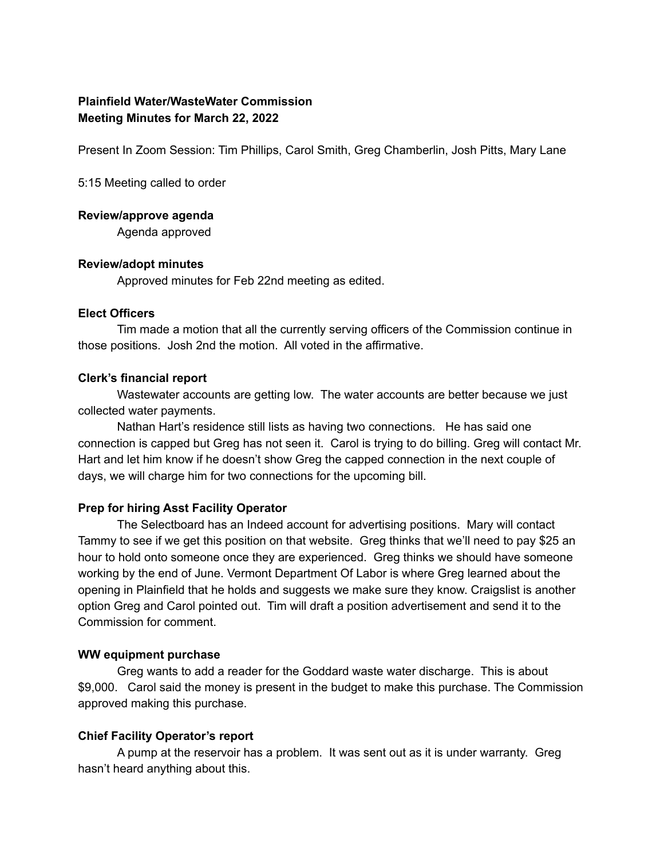# **Plainfield Water/WasteWater Commission Meeting Minutes for March 22, 2022**

Present In Zoom Session: Tim Phillips, Carol Smith, Greg Chamberlin, Josh Pitts, Mary Lane

5:15 Meeting called to order

#### **Review/approve agenda**

Agenda approved

## **Review/adopt minutes**

Approved minutes for Feb 22nd meeting as edited.

#### **Elect Officers**

Tim made a motion that all the currently serving officers of the Commission continue in those positions. Josh 2nd the motion. All voted in the affirmative.

#### **Clerk's financial report**

Wastewater accounts are getting low. The water accounts are better because we just collected water payments.

Nathan Hart's residence still lists as having two connections. He has said one connection is capped but Greg has not seen it. Carol is trying to do billing. Greg will contact Mr. Hart and let him know if he doesn't show Greg the capped connection in the next couple of days, we will charge him for two connections for the upcoming bill.

## **Prep for hiring Asst Facility Operator**

The Selectboard has an Indeed account for advertising positions. Mary will contact Tammy to see if we get this position on that website. Greg thinks that we'll need to pay \$25 an hour to hold onto someone once they are experienced. Greg thinks we should have someone working by the end of June. Vermont Department Of Labor is where Greg learned about the opening in Plainfield that he holds and suggests we make sure they know. Craigslist is another option Greg and Carol pointed out. Tim will draft a position advertisement and send it to the Commission for comment.

### **WW equipment purchase**

Greg wants to add a reader for the Goddard waste water discharge. This is about \$9,000. Carol said the money is present in the budget to make this purchase. The Commission approved making this purchase.

#### **Chief Facility Operator's report**

A pump at the reservoir has a problem. It was sent out as it is under warranty. Greg hasn't heard anything about this.